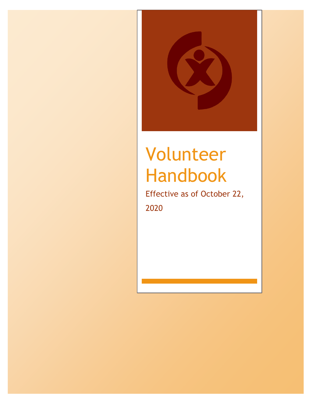

# Volunteer Handbook

Effective as of October 22, 2020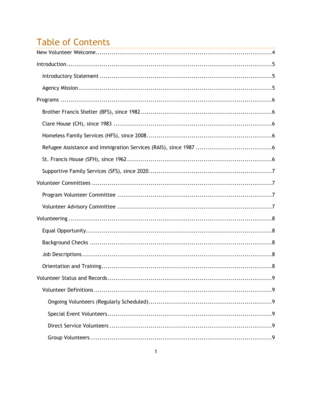# **Table of Contents**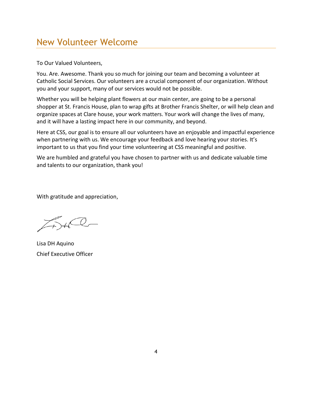# <span id="page-4-0"></span>New Volunteer Welcome

To Our Valued Volunteers,

You. Are. Awesome. Thank you so much for joining our team and becoming a volunteer at Catholic Social Services. Our volunteers are a crucial component of our organization. Without you and your support, many of our services would not be possible.

Whether you will be helping plant flowers at our main center, are going to be a personal shopper at St. Francis House, plan to wrap gifts at Brother Francis Shelter, or will help clean and organize spaces at Clare house, your work matters. Your work will change the lives of many, and it will have a lasting impact here in our community, and beyond.

Here at CSS, our goal is to ensure all our volunteers have an enjoyable and impactful experience when partnering with us. We encourage your feedback and love hearing your stories. It's important to us that you find your time volunteering at CSS meaningful and positive.

We are humbled and grateful you have chosen to partner with us and dedicate valuable time and talents to our organization, thank you!

With gratitude and appreciation,

Lisa DH Aquino Chief Executive Officer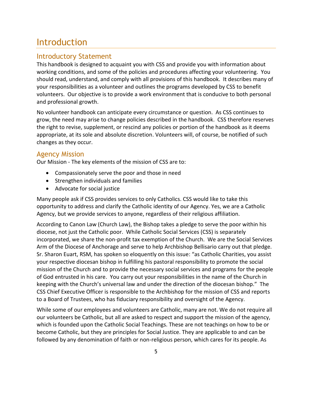# <span id="page-5-0"></span>Introduction

# <span id="page-5-1"></span>Introductory Statement

This handbook is designed to acquaint you with CSS and provide you with information about working conditions, and some of the policies and procedures affecting your volunteering. You should read, understand, and comply with all provisions of this handbook. It describes many of your responsibilities as a volunteer and outlines the programs developed by CSS to benefit volunteers. Our objective is to provide a work environment that is conducive to both personal and professional growth.

No volunteer handbook can anticipate every circumstance or question. As CSS continues to grow, the need may arise to change policies described in the handbook. CSS therefore reserves the right to revise, supplement, or rescind any policies or portion of the handbook as it deems appropriate, at its sole and absolute discretion. Volunteers will, of course, be notified of such changes as they occur.

# <span id="page-5-2"></span>Agency Mission

Our Mission - The key elements of the mission of CSS are to:

- Compassionately serve the poor and those in need
- Strengthen individuals and families
- Advocate for social justice

Many people ask if CSS provides services to only Catholics. CSS would like to take this opportunity to address and clarify the Catholic identity of our Agency. Yes, we are a Catholic Agency, but we provide services to anyone, regardless of their religious affiliation.

According to Canon Law (Church Law), the Bishop takes a pledge to serve the poor within his diocese, not just the Catholic poor. While Catholic Social Services (CSS) is separately incorporated, we share the non-profit tax exemption of the Church. We are the Social Services Arm of the Diocese of Anchorage and serve to help Archbishop Bellisario carry out that pledge. Sr. Sharon Euart, RSM, has spoken so eloquently on this issue: "as Catholic Charities, you assist your respective diocesan bishop in fulfilling his pastoral responsibility to promote the social mission of the Church and to provide the necessary social services and programs for the people of God entrusted in his care. You carry out your responsibilities in the name of the Church in keeping with the Church's universal law and under the direction of the diocesan bishop." The CSS Chief Executive Officer is responsible to the Archbishop for the mission of CSS and reports to a Board of Trustees, who has fiduciary responsibility and oversight of the Agency.

While some of our employees and volunteers are Catholic, many are not. We do not require all our volunteers be Catholic, but all are asked to respect and support the mission of the agency, which is founded upon the Catholic Social Teachings. These are not teachings on how to be or become Catholic, but they are principles for Social Justice. They are applicable to and can be followed by any denomination of faith or non-religious person, which cares for its people. As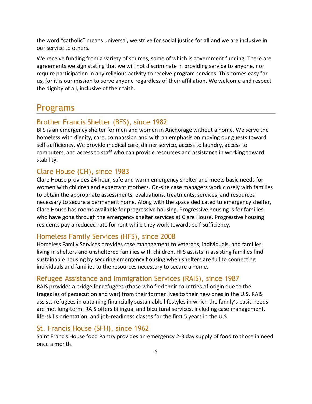the word "catholic" means universal, we strive for social justice for all and we are inclusive in our service to others.

We receive funding from a variety of sources, some of which is government funding. There are agreements we sign stating that we will not discriminate in providing service to anyone, nor require participation in any religious activity to receive program services. This comes easy for us, for it is our mission to serve anyone regardless of their affiliation. We welcome and respect the dignity of all, inclusive of their faith.

# <span id="page-6-0"></span>Programs

### <span id="page-6-1"></span>Brother Francis Shelter (BFS), since 1982

BFS is an emergency shelter for men and women in Anchorage without a home. We serve the homeless with dignity, care, compassion and with an emphasis on moving our guests toward self-sufficiency. We provide medical care, dinner service, access to laundry, access to computers, and access to staff who can provide resources and assistance in working toward stability.

# <span id="page-6-2"></span>Clare House (CH), since 1983

Clare House provides 24 hour, safe and warm emergency shelter and meets basic needs for women with children and expectant mothers. On-site case managers work closely with families to obtain the appropriate assessments, evaluations, treatments, services, and resources necessary to secure a permanent home. Along with the space dedicated to emergency shelter, Clare House has rooms available for progressive housing. Progressive housing is for families who have gone through the emergency shelter services at Clare House. Progressive housing residents pay a reduced rate for rent while they work towards self‐sufficiency.

### <span id="page-6-3"></span>Homeless Family Services (HFS), since 2008

Homeless Family Services provides case management to veterans, individuals, and families living in shelters and unsheltered families with children. HFS assists in assisting families find sustainable housing by securing emergency housing when shelters are full to connecting individuals and families to the resources necessary to secure a home.

# <span id="page-6-4"></span>Refugee Assistance and Immigration Services (RAIS), since 1987

RAIS provides a bridge for refugees (those who fled their countries of origin due to the tragedies of persecution and war) from their former lives to their new ones in the U.S. RAIS assists refugees in obtaining financially sustainable lifestyles in which the family's basic needs are met long-term. RAIS offers bilingual and bicultural services, including case management, life-skills orientation, and job-readiness classes for the first 5 years in the U.S.

# <span id="page-6-5"></span>St. Francis House (SFH), since 1962

Saint Francis House food Pantry provides an emergency 2-3 day supply of food to those in need once a month.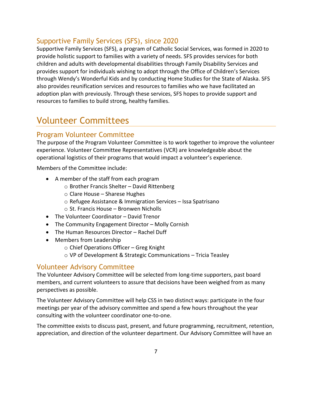# <span id="page-7-0"></span>Supportive Family Services (SFS), since 2020

Supportive Family Services (SFS), a program of Catholic Social Services, was formed in 2020 to provide holistic support to families with a variety of needs. SFS provides services for both children and adults with developmental disabilities through Family Disability Services and provides support for individuals wishing to adopt through the Office of Children's Services through Wendy's Wonderful Kids and by conducting Home Studies for the State of Alaska. SFS also provides reunification services and resources to families who we have facilitated an adoption plan with previously. Through these services, SFS hopes to provide support and resources to families to build strong, healthy families.

# <span id="page-7-1"></span>Volunteer Committees

# <span id="page-7-2"></span>Program Volunteer Committee

The purpose of the Program Volunteer Committee is to work together to improve the volunteer experience. Volunteer Committee Representatives (VCR) are knowledgeable about the operational logistics of their programs that would impact a volunteer's experience.

Members of the Committee include:

- A member of the staff from each program
	- o Brother Francis Shelter David Rittenberg
	- o Clare House Sharese Hughes
	- o Refugee Assistance & Immigration Services Issa Spatrisano
	- o St. Francis House Bronwen Nicholls
- The Volunteer Coordinator David Trenor
- The Community Engagement Director Molly Cornish
- The Human Resources Director Rachel Duff
- Members from Leadership
	- o Chief Operations Officer Greg Knight
	- o VP of Development & Strategic Communications Tricia Teasley

# <span id="page-7-3"></span>Volunteer Advisory Committee

The Volunteer Advisory Committee will be selected from long-time supporters, past board members, and current volunteers to assure that decisions have been weighed from as many perspectives as possible.

The Volunteer Advisory Committee will help CSS in two distinct ways: participate in the four meetings per year of the advisory committee and spend a few hours throughout the year consulting with the volunteer coordinator one-to-one.

The committee exists to discuss past, present, and future programming, recruitment, retention, appreciation, and direction of the volunteer department. Our Advisory Committee will have an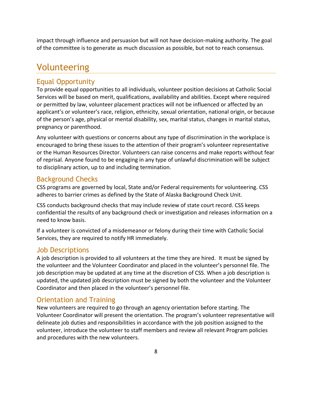impact through influence and persuasion but will not have decision-making authority. The goal of the committee is to generate as much discussion as possible, but not to reach consensus.

# <span id="page-8-0"></span>Volunteering

# <span id="page-8-1"></span>Equal Opportunity

To provide equal opportunities to all individuals, volunteer position decisions at Catholic Social Services will be based on merit, qualifications, availability and abilities. Except where required or permitted by law, volunteer placement practices will not be influenced or affected by an applicant's or volunteer's race, religion, ethnicity, sexual orientation, national origin, or because of the person's age, physical or mental disability, sex, marital status, changes in marital status, pregnancy or parenthood.

Any volunteer with questions or concerns about any type of discrimination in the workplace is encouraged to bring these issues to the attention of their program's volunteer representative or the Human Resources Director. Volunteers can raise concerns and make reports without fear of reprisal. Anyone found to be engaging in any type of unlawful discrimination will be subject to disciplinary action, up to and including termination.

# <span id="page-8-2"></span>Background Checks

CSS programs are governed by local, State and/or Federal requirements for volunteering. CSS adheres to barrier crimes as defined by the State of Alaska Background Check Unit.

CSS conducts background checks that may include review of state court record. CSS keeps confidential the results of any background check or investigation and releases information on a need to know basis.

If a volunteer is convicted of a misdemeanor or felony during their time with Catholic Social Services, they are required to notify HR immediately.

### <span id="page-8-3"></span>Job Descriptions

A job description is provided to all volunteers at the time they are hired. It must be signed by the volunteer and the Volunteer Coordinator and placed in the volunteer's personnel file. The job description may be updated at any time at the discretion of CSS. When a job description is updated, the updated job description must be signed by both the volunteer and the Volunteer Coordinator and then placed in the volunteer's personnel file.

# <span id="page-8-4"></span>Orientation and Training

New volunteers are required to go through an agency orientation before starting. The Volunteer Coordinator will present the orientation. The program's volunteer representative will delineate job duties and responsibilities in accordance with the job position assigned to the volunteer, introduce the volunteer to staff members and review all relevant Program policies and procedures with the new volunteers.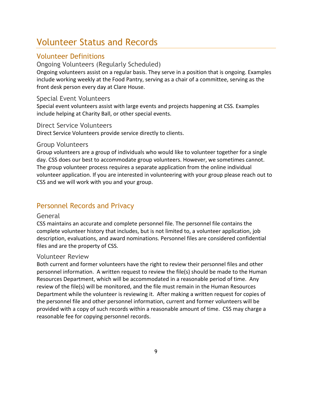# <span id="page-9-0"></span>Volunteer Status and Records

# <span id="page-9-1"></span>Volunteer Definitions

#### <span id="page-9-2"></span>Ongoing Volunteers (Regularly Scheduled)

Ongoing volunteers assist on a regular basis. They serve in a position that is ongoing. Examples include working weekly at the Food Pantry, serving as a chair of a committee, serving as the front desk person every day at Clare House.

#### <span id="page-9-3"></span>Special Event Volunteers

Special event volunteers assist with large events and projects happening at CSS. Examples include helping at Charity Ball, or other special events.

#### <span id="page-9-4"></span>Direct Service Volunteers

Direct Service Volunteers provide service directly to clients.

#### <span id="page-9-5"></span>Group Volunteers

Group volunteers are a group of individuals who would like to volunteer together for a single day. CSS does our best to accommodate group volunteers. However, we sometimes cannot. The group volunteer process requires a separate application from the online individual volunteer application. If you are interested in volunteering with your group please reach out to CSS and we will work with you and your group.

# <span id="page-9-6"></span>Personnel Records and Privacy

#### <span id="page-9-7"></span>General

CSS maintains an accurate and complete personnel file. The personnel file contains the complete volunteer history that includes, but is not limited to, a volunteer application, job description, evaluations, and award nominations. Personnel files are considered confidential files and are the property of CSS.

#### <span id="page-9-8"></span>Volunteer Review

Both current and former volunteers have the right to review their personnel files and other personnel information. A written request to review the file(s) should be made to the Human Resources Department, which will be accommodated in a reasonable period of time. Any review of the file(s) will be monitored, and the file must remain in the Human Resources Department while the volunteer is reviewing it. After making a written request for copies of the personnel file and other personnel information, current and former volunteers will be provided with a copy of such records within a reasonable amount of time. CSS may charge a reasonable fee for copying personnel records.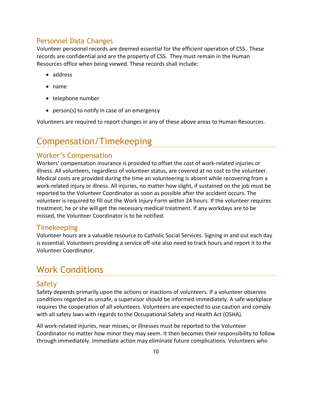# <span id="page-10-0"></span>Personnel Data Changes

Volunteer personnel records are deemed essential for the efficient operation of CSS. These records are confidential and are the property of CSS. They must remain in the Human Resources office when being viewed. These records shall include:

- address
- name
- telephone number
- person(s) to notify in case of an emergency

Volunteers are required to report changes in any of these above areas to Human Resources.

# <span id="page-10-1"></span>Compensation/Timekeeping

# <span id="page-10-2"></span>Worker's Compensation

Workers' compensation insurance is provided to offset the cost of work-related injuries or illness. All volunteers, regardless of volunteer status, are covered at no cost to the volunteer. Medical costs are provided during the time an volunteering is absent while recovering from a work-related injury or illness. All injuries, no matter how slight, if sustained on the job must be reported to the Volunteer Coordinator as soon as possible after the accident occurs. The volunteer is required to fill out the Work Injury Form within 24 hours. If the volunteer requires treatment, he or she will get the necessary medical treatment. If any workdays are to be missed, the Volunteer Coordinator is to be notified.

### <span id="page-10-3"></span>**Timekeeping**

Volunteer hours are a valuable resource to Catholic Social Services. Signing in and out each day is essential. Volunteers providing a service off-site also need to track hours and report it to the Volunteer Coordinator.

# <span id="page-10-4"></span>Work Conditions

### <span id="page-10-5"></span>**Safety**

Safety depends primarily upon the actions or inactions of volunteers. If a volunteer observes conditions regarded as unsafe, a supervisor should be informed immediately. A safe workplace requires the cooperation of all volunteers. Volunteers are expected to use caution and comply with all safety laws with regards to the Occupational Safety and Health Act (OSHA).

All work-related injuries, near misses, or illnesses must be reported to the Volunteer Coordinator no matter how minor they may seem. It then becomes their responsibility to follow through immediately. Immediate action may eliminate future complications. Volunteers who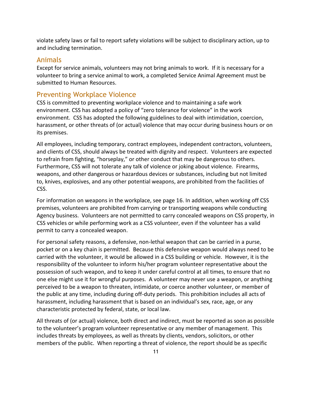violate safety laws or fail to report safety violations will be subject to disciplinary action, up to and including termination.

#### <span id="page-11-0"></span>Animals

Except for service animals, volunteers may not bring animals to work. If it is necessary for a volunteer to bring a service animal to work, a completed Service Animal Agreement must be submitted to Human Resources.

### <span id="page-11-1"></span>Preventing Workplace Violence

CSS is committed to preventing workplace violence and to maintaining a safe work environment. CSS has adopted a policy of "zero tolerance for violence" in the work environment. CSS has adopted the following guidelines to deal with intimidation, coercion, harassment, or other threats of (or actual) violence that may occur during business hours or on its premises.

All employees, including temporary, contract employees, independent contractors, volunteers, and clients of CSS, should always be treated with dignity and respect. Volunteers are expected to refrain from fighting, "horseplay," or other conduct that may be dangerous to others. Furthermore, CSS will not tolerate any talk of violence or joking about violence. Firearms, weapons, and other dangerous or hazardous devices or substances, including but not limited to, knives, explosives, and any other potential weapons, are prohibited from the facilities of CSS.

For information on weapons in the workplace, see page 16. In addition, when working off CSS premises, volunteers are prohibited from carrying or transporting weapons while conducting Agency business. Volunteers are not permitted to carry concealed weapons on CSS property, in CSS vehicles or while performing work as a CSS volunteer, even if the volunteer has a valid permit to carry a concealed weapon.

For personal safety reasons, a defensive, non-lethal weapon that can be carried in a purse, pocket or on a key chain is permitted. Because this defensive weapon would always need to be carried with the volunteer, it would be allowed in a CSS building or vehicle. However, it is the responsibility of the volunteer to inform his/her program volunteer representative about the possession of such weapon, and to keep it under careful control at all times, to ensure that no one else might use it for wrongful purposes. A volunteer may never use a weapon, or anything perceived to be a weapon to threaten, intimidate, or coerce another volunteer, or member of the public at any time, including during off-duty periods. This prohibition includes all acts of harassment, including harassment that is based on an individual's sex, race, age, or any characteristic protected by federal, state, or local law.

All threats of (or actual) violence, both direct and indirect, must be reported as soon as possible to the volunteer's program volunteer representative or any member of management. This includes threats by employees, as well as threats by clients, vendors, solicitors, or other members of the public. When reporting a threat of violence, the report should be as specific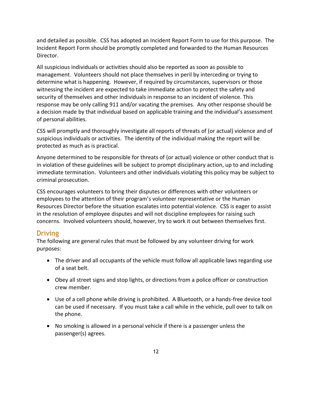and detailed as possible. CSS has adopted an Incident Report Form to use for this purpose. The Incident Report Form should be promptly completed and forwarded to the Human Resources Director.

All suspicious individuals or activities should also be reported as soon as possible to management. Volunteers should not place themselves in peril by interceding or trying to determine what is happening. However, if required by circumstances, supervisors or those witnessing the incident are expected to take immediate action to protect the safety and security of themselves and other individuals in response to an incident of violence. This response may be only calling 911 and/or vacating the premises. Any other response should be a decision made by that individual based on applicable training and the individual's assessment of personal abilities.

CSS will promptly and thoroughly investigate all reports of threats of (or actual) violence and of suspicious individuals or activities. The identity of the individual making the report will be protected as much as is practical.

Anyone determined to be responsible for threats of (or actual) violence or other conduct that is in violation of these guidelines will be subject to prompt disciplinary action, up to and including immediate termination. Volunteers and other individuals violating this policy may be subject to criminal prosecution.

CSS encourages volunteers to bring their disputes or differences with other volunteers or employees to the attention of their program's volunteer representative or the Human Resources Director before the situation escalates into potential violence. CSS is eager to assist in the resolution of employee disputes and will not discipline employees for raising such concerns. Involved volunteers should, however, try to work it out between themselves first.

# <span id="page-12-0"></span>**Driving**

The following are general rules that must be followed by any volunteer driving for work purposes:

- The driver and all occupants of the vehicle must follow all applicable laws regarding use of a seat belt.
- Obey all street signs and stop lights, or directions from a police officer or construction crew member.
- Use of a cell phone while driving is prohibited. A Bluetooth, or a hands-free device tool can be used if necessary. If you must take a call while in the vehicle, pull over to talk on the phone.
- No smoking is allowed in a personal vehicle if there is a passenger unless the passenger(s) agrees.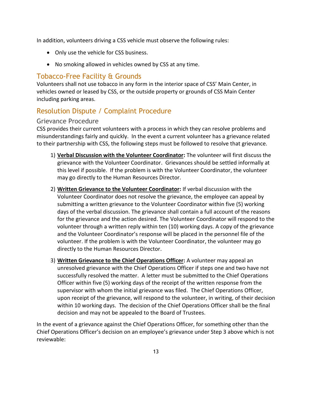In addition, volunteers driving a CSS vehicle must observe the following rules:

- Only use the vehicle for CSS business.
- No smoking allowed in vehicles owned by CSS at any time.

# <span id="page-13-0"></span>Tobacco-Free Facility & Grounds

Volunteers shall not use tobacco in any form in the interior space of CSS' Main Center, in vehicles owned or leased by CSS, or the outside property or grounds of CSS Main Center including parking areas.

# <span id="page-13-1"></span>Resolution Dispute / Complaint Procedure

### <span id="page-13-2"></span>Grievance Procedure

CSS provides their current volunteers with a process in which they can resolve problems and misunderstandings fairly and quickly. In the event a current volunteer has a grievance related to their partnership with CSS, the following steps must be followed to resolve that grievance.

- 1) **Verbal Discussion with the Volunteer Coordinator:** The volunteer will first discuss the grievance with the Volunteer Coordinator. Grievances should be settled informally at this level if possible. If the problem is with the Volunteer Coordinator, the volunteer may go directly to the Human Resources Director.
- 2) **Written Grievance to the Volunteer Coordinator:** If verbal discussion with the Volunteer Coordinator does not resolve the grievance, the employee can appeal by submitting a written grievance to the Volunteer Coordinator within five (5) working days of the verbal discussion. The grievance shall contain a full account of the reasons for the grievance and the action desired. The Volunteer Coordinator will respond to the volunteer through a written reply within ten (10) working days. A copy of the grievance and the Volunteer Coordinator's response will be placed in the personnel file of the volunteer. If the problem is with the Volunteer Coordinator, the volunteer may go directly to the Human Resources Director.
- 3) **Written Grievance to the Chief Operations Officer:** A volunteer may appeal an unresolved grievance with the Chief Operations Officer if steps one and two have not successfully resolved the matter. A letter must be submitted to the Chief Operations Officer within five (5) working days of the receipt of the written response from the supervisor with whom the initial grievance was filed. The Chief Operations Officer, upon receipt of the grievance, will respond to the volunteer, in writing, of their decision within 10 working days. The decision of the Chief Operations Officer shall be the final decision and may not be appealed to the Board of Trustees.

In the event of a grievance against the Chief Operations Officer, for something other than the Chief Operations Officer's decision on an employee's grievance under Step 3 above which is not reviewable: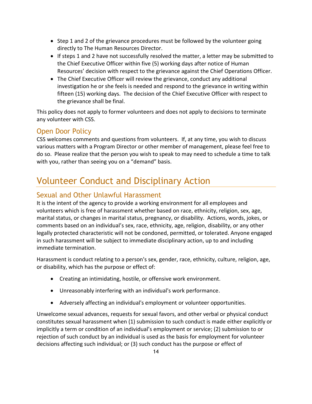- Step 1 and 2 of the grievance procedures must be followed by the volunteer going directly to The Human Resources Director.
- If steps 1 and 2 have not successfully resolved the matter, a letter may be submitted to the Chief Executive Officer within five (5) working days after notice of Human Resources' decision with respect to the grievance against the Chief Operations Officer.
- The Chief Executive Officer will review the grievance, conduct any additional investigation he or she feels is needed and respond to the grievance in writing within fifteen (15) working days. The decision of the Chief Executive Officer with respect to the grievance shall be final.

This policy does not apply to former volunteers and does not apply to decisions to terminate any volunteer with CSS.

# <span id="page-14-0"></span>Open Door Policy

CSS welcomes comments and questions from volunteers. If, at any time, you wish to discuss various matters with a Program Director or other member of management, please feel free to do so. Please realize that the person you wish to speak to may need to schedule a time to talk with you, rather than seeing you on a "demand" basis.

# <span id="page-14-1"></span>Volunteer Conduct and Disciplinary Action

# <span id="page-14-2"></span>Sexual and Other Unlawful Harassment

It is the intent of the agency to provide a working environment for all employees and volunteers which is free of harassment whether based on race, ethnicity, religion, sex, age, marital status, or changes in marital status, pregnancy, or disability. Actions, words, jokes, or comments based on an individual's sex, race, ethnicity, age, religion, disability, or any other legally protected characteristic will not be condoned, permitted, or tolerated. Anyone engaged in such harassment will be subject to immediate disciplinary action, up to and including immediate termination.

Harassment is conduct relating to a person's sex, gender, race, ethnicity, culture, religion, age, or disability, which has the purpose or effect of:

- Creating an intimidating, hostile, or offensive work environment.
- Unreasonably interfering with an individual's work performance.
- Adversely affecting an individual's employment or volunteer opportunities.

Unwelcome sexual advances, requests for sexual favors, and other verbal or physical conduct constitutes sexual harassment when (1) submission to such conduct is made either explicitly or implicitly a term or condition of an individual's employment or service; (2) submission to or rejection of such conduct by an individual is used as the basis for employment for volunteer decisions affecting such individual; or (3) such conduct has the purpose or effect of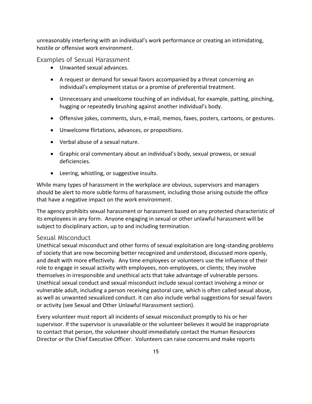unreasonably interfering with an individual's work performance or creating an intimidating, hostile or offensive work environment.

<span id="page-15-0"></span>Examples of Sexual Harassment

- Unwanted sexual advances.
- A request or demand for sexual favors accompanied by a threat concerning an individual's employment status or a promise of preferential treatment.
- Unnecessary and unwelcome touching of an individual, for example, patting, pinching, hugging or repeatedly brushing against another individual's body.
- Offensive jokes, comments, slurs, e-mail, memos, faxes, posters, cartoons, or gestures.
- Unwelcome flirtations, advances, or propositions.
- Verbal abuse of a sexual nature.
- Graphic oral commentary about an individual's body, sexual prowess, or sexual deficiencies.
- Leering, whistling, or suggestive insults.

While many types of harassment in the workplace are obvious, supervisors and managers should be alert to more subtle forms of harassment, including those arising outside the office that have a negative impact on the work environment.

The agency prohibits sexual harassment or harassment based on any protected characteristic of its employees in any form. Anyone engaging in sexual or other unlawful harassment will be subject to disciplinary action, up to and including termination.

### <span id="page-15-1"></span>Sexual Misconduct

Unethical sexual misconduct and other forms of sexual exploitation are long-standing problems of society that are now becoming better recognized and understood, discussed more openly, and dealt with more effectively. Any time employees or volunteers use the influence of their role to engage in sexual activity with employees, non-employees, or clients; they involve themselves in irresponsible and unethical acts that take advantage of vulnerable persons. Unethical sexual conduct and sexual misconduct include sexual contact involving a minor or vulnerable adult, including a person receiving pastoral care, which is often called sexual abuse, as well as unwanted sexualized conduct. It can also include verbal suggestions for sexual favors or activity (see Sexual and Other Unlawful Harassment section).

Every volunteer must report all incidents of sexual misconduct promptly to his or her supervisor. If the supervisor is unavailable or the volunteer believes it would be inappropriate to contact that person, the volunteer should immediately contact the Human Resources Director or the Chief Executive Officer. Volunteers can raise concerns and make reports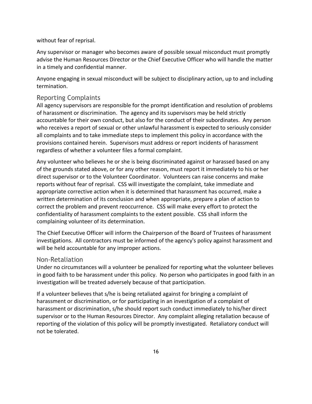#### without fear of reprisal.

Any supervisor or manager who becomes aware of possible sexual misconduct must promptly advise the Human Resources Director or the Chief Executive Officer who will handle the matter in a timely and confidential manner.

Anyone engaging in sexual misconduct will be subject to disciplinary action, up to and including termination.

### <span id="page-16-0"></span>Reporting Complaints

All agency supervisors are responsible for the prompt identification and resolution of problems of harassment or discrimination. The agency and its supervisors may be held strictly accountable for their own conduct, but also for the conduct of their subordinates. Any person who receives a report of sexual or other unlawful harassment is expected to seriously consider all complaints and to take immediate steps to implement this policy in accordance with the provisions contained herein. Supervisors must address or report incidents of harassment regardless of whether a volunteer files a formal complaint.

Any volunteer who believes he or she is being discriminated against or harassed based on any of the grounds stated above, or for any other reason, must report it immediately to his or her direct supervisor or to the Volunteer Coordinator. Volunteers can raise concerns and make reports without fear of reprisal. CSS will investigate the complaint, take immediate and appropriate corrective action when it is determined that harassment has occurred, make a written determination of its conclusion and when appropriate, prepare a plan of action to correct the problem and prevent reoccurrence. CSS will make every effort to protect the confidentiality of harassment complaints to the extent possible. CSS shall inform the complaining volunteer of its determination.

The Chief Executive Officer will inform the Chairperson of the Board of Trustees of harassment investigations. All contractors must be informed of the agency's policy against harassment and will be held accountable for any improper actions.

#### <span id="page-16-1"></span>Non-Retaliation

Under no circumstances will a volunteer be penalized for reporting what the volunteer believes in good faith to be harassment under this policy. No person who participates in good faith in an investigation will be treated adversely because of that participation.

If a volunteer believes that s/he is being retaliated against for bringing a complaint of harassment or discrimination, or for participating in an investigation of a complaint of harassment or discrimination, s/he should report such conduct immediately to his/her direct supervisor or to the Human Resources Director. Any complaint alleging retaliation because of reporting of the violation of this policy will be promptly investigated. Retaliatory conduct will not be tolerated.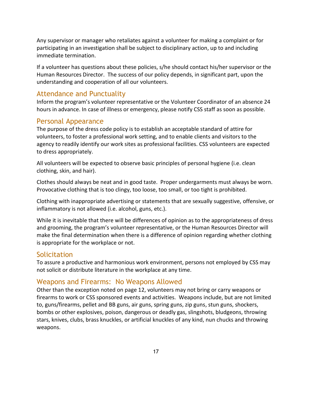Any supervisor or manager who retaliates against a volunteer for making a complaint or for participating in an investigation shall be subject to disciplinary action, up to and including immediate termination.

If a volunteer has questions about these policies, s/he should contact his/her supervisor or the Human Resources Director. The success of our policy depends, in significant part, upon the understanding and cooperation of all our volunteers.

# <span id="page-17-0"></span>Attendance and Punctuality

Inform the program's volunteer representative or the Volunteer Coordinator of an absence 24 hours in advance. In case of illness or emergency, please notify CSS staff as soon as possible.

### <span id="page-17-1"></span>Personal Appearance

The purpose of the dress code policy is to establish an acceptable standard of attire for volunteers, to foster a professional work setting, and to enable clients and visitors to the agency to readily identify our work sites as professional facilities. CSS volunteers are expected to dress appropriately.

All volunteers will be expected to observe basic principles of personal hygiene (i.e. clean clothing, skin, and hair).

Clothes should always be neat and in good taste. Proper undergarments must always be worn. Provocative clothing that is too clingy, too loose, too small, or too tight is prohibited.

Clothing with inappropriate advertising or statements that are sexually suggestive, offensive, or inflammatory is not allowed (i.e. alcohol, guns, etc.).

While it is inevitable that there will be differences of opinion as to the appropriateness of dress and grooming, the program's volunteer representative, or the Human Resources Director will make the final determination when there is a difference of opinion regarding whether clothing is appropriate for the workplace or not.

# <span id="page-17-2"></span>**Solicitation**

To assure a productive and harmonious work environment, persons not employed by CSS may not solicit or distribute literature in the workplace at any time.

# <span id="page-17-3"></span>Weapons and Firearms: No Weapons Allowed

Other than the exception noted on page 12, volunteers may not bring or carry weapons or firearms to work or CSS sponsored events and activities. Weapons include, but are not limited to, guns/firearms, pellet and BB guns, air guns, spring guns, zip guns, stun guns, shockers, bombs or other explosives, poison, dangerous or deadly gas, slingshots, bludgeons, throwing stars, knives, clubs, brass knuckles, or artificial knuckles of any kind, nun chucks and throwing weapons.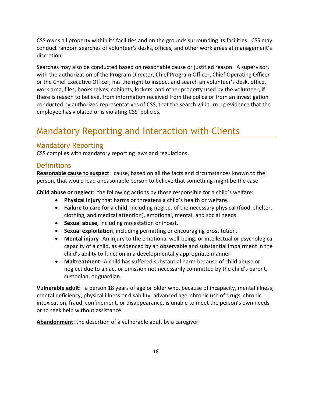CSS owns all property within its facilities and on the grounds surrounding its facilities. CSS may conduct random searches of volunteer's desks, offices, and other work areas at management's discretion.

Searches may also be conducted based on reasonable cause or justified reason. A supervisor, with the authorization of the Program Director, Chief Program Officer, Chief Operating Officer or the Chief Executive Officer, has the right to inspect and search an volunteer's desk, office, work area, files, bookshelves, cabinets, lockers, and other property used by the volunteer, if there is reason to believe, from information received from the police or from an investigation conducted by authorized representatives of CSS, that the search will turn up evidence that the employee has violated or is violating CSS' policies.

# <span id="page-18-0"></span>Mandatory Reporting and Interaction with Clients

# <span id="page-18-1"></span>Mandatory Reporting

CSS complies with mandatory reporting laws and regulations.

# <span id="page-18-2"></span>**Definitions**

**Reasonable cause to suspect**: cause, based on all the facts and circumstances known to the person, that would lead a reasonable person to believe that something might be the case

**Child abuse or neglect**: the following actions by those responsible for a child's welfare:

- **Physical injury** that harms or threatens a child's health or welfare.
- **Failure to care for a child**, including neglect of the necessary physical (food, shelter, clothing, and medical attention), emotional, mental, and social needs*.*
- **Sexual abuse**, including molestation or incest.
- **Sexual exploitation**, including permitting or encouraging prostitution.
- **Mental injury**--An injury to the emotional well-being, or intellectual or psychological capacity of a child, as evidenced by an observable and substantial impairment in the child's ability to function in a developmentally appropriate manner.
- **Maltreatment**--A child has suffered substantial harm because of child abuse or neglect due to an act or omission not necessarily committed by the child's parent, custodian, or guardian.

**Vulnerable adult:** a person 18 years of age or older who, because of incapacity, mental illness, mental deficiency, physical illness or disability, advanced age, chronic use of drugs, chronic intoxication, fraud, confinement, or disappearance, is unable to meet the person's own needs or to seek help without assistance.

**Abandonment**: the desertion of a vulnerable adult by a caregiver.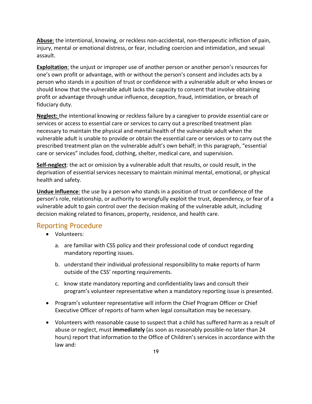**Abuse**: the intentional, knowing, or reckless non-accidental, non-therapeutic infliction of pain, injury, mental or emotional distress, or fear, including coercion and intimidation, and sexual assault.

**Exploitation**: the unjust or improper use of another person or another person's resources for one's own profit or advantage, with or without the person's consent and includes acts by a person who stands in a position of trust or confidence with a vulnerable adult or who knows or should know that the vulnerable adult lacks the capacity to consent that involve obtaining profit or advantage through undue influence, deception, fraud, intimidation, or breach of fiduciary duty.

**Neglect:** the intentional knowing or reckless failure by a caregiver to provide essential care or services or access to essential care or services to carry out a prescribed treatment plan necessary to maintain the physical and mental health of the vulnerable adult when the vulnerable adult is unable to provide or obtain the essential care or services or to carry out the prescribed treatment plan on the vulnerable adult's own behalf; in this paragraph, "essential care or services" includes food, clothing, shelter, medical care, and supervision.

**Self-neglect**: the act or omission by a vulnerable adult that results, or could result, in the deprivation of essential services necessary to maintain minimal mental, emotional, or physical health and safety.

**Undue influence**: the use by a person who stands in a position of trust or confidence of the person's role, relationship, or authority to wrongfully exploit the trust, dependency, or fear of a vulnerable adult to gain control over the decision making of the vulnerable adult, including decision making related to finances, property, residence, and health care.

#### <span id="page-19-0"></span>Reporting Procedure

- Volunteers:
	- a. are familiar with CSS policy and their professional code of conduct regarding mandatory reporting issues.
	- b. understand their individual professional responsibility to make reports of harm outside of the CSS' reporting requirements.
	- c. know state mandatory reporting and confidentiality laws and consult their program's volunteer representative when a mandatory reporting issue is presented.
- Program's volunteer representative will inform the Chief Program Officer or Chief Executive Officer of reports of harm when legal consultation may be necessary.
- Volunteers with reasonable cause to suspect that a child has suffered harm as a result of abuse or neglect, must **immediately** (as soon as reasonably possible-no later than 24 hours) report that information to the Office of Children's services in accordance with the law and: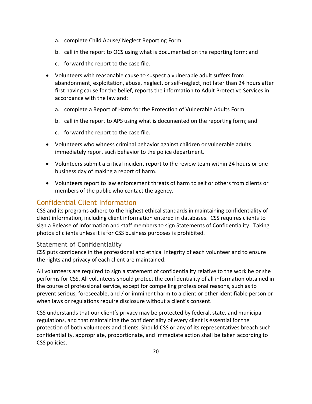- a. complete Child Abuse/ Neglect Reporting Form.
- b. call in the report to OCS using what is documented on the reporting form; and
- c. forward the report to the case file.
- Volunteers with reasonable cause to suspect a vulnerable adult suffers from abandonment, exploitation, abuse, neglect, or self-neglect, not later than 24 hours after first having cause for the belief, reports the information to Adult Protective Services in accordance with the law and:
	- a. complete a Report of Harm for the Protection of Vulnerable Adults Form.
	- b. call in the report to APS using what is documented on the reporting form; and
	- c. forward the report to the case file.
- Volunteers who witness criminal behavior against children or vulnerable adults immediately report such behavior to the police department.
- Volunteers submit a critical incident report to the review team within 24 hours or one business day of making a report of harm.
- Volunteers report to law enforcement threats of harm to self or others from clients or members of the public who contact the agency.

# <span id="page-20-0"></span>Confidential Client Information

CSS and its programs adhere to the highest ethical standards in maintaining confidentiality of client information, including client information entered in databases. CSS requires clients to sign a Release of Information and staff members to sign Statements of Confidentiality. Taking photos of clients unless it is for CSS business purposes is prohibited.

### <span id="page-20-1"></span>Statement of Confidentiality

CSS puts confidence in the professional and ethical integrity of each volunteer and to ensure the rights and privacy of each client are maintained.

All volunteers are required to sign a statement of confidentiality relative to the work he or she performs for CSS. All volunteers should protect the confidentiality of all information obtained in the course of professional service, except for compelling professional reasons, such as to prevent serious, foreseeable, and / or imminent harm to a client or other identifiable person or when laws or regulations require disclosure without a client's consent.

CSS understands that our client's privacy may be protected by federal, state, and municipal regulations, and that maintaining the confidentiality of every client is essential for the protection of both volunteers and clients. Should CSS or any of its representatives breach such confidentiality, appropriate, proportionate, and immediate action shall be taken according to CSS policies.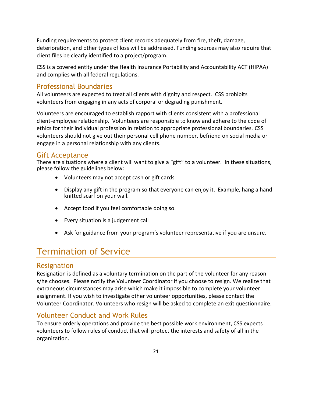Funding requirements to protect client records adequately from fire, theft, damage, deterioration, and other types of loss will be addressed. Funding sources may also require that client files be clearly identified to a project/program.

CSS is a covered entity under the Health Insurance Portability and Accountability ACT (HIPAA) and complies with all federal regulations.

# <span id="page-21-0"></span>Professional Boundaries

All volunteers are expected to treat all clients with dignity and respect. CSS prohibits volunteers from engaging in any acts of corporal or degrading punishment.

Volunteers are encouraged to establish rapport with clients consistent with a professional client-employee relationship. Volunteers are responsible to know and adhere to the code of ethics for their individual profession in relation to appropriate professional boundaries. CSS volunteers should not give out their personal cell phone number, befriend on social media or engage in a personal relationship with any clients.

# <span id="page-21-1"></span>Gift Acceptance

There are situations where a client will want to give a "gift" to a volunteer. In these situations, please follow the guidelines below:

- Volunteers may not accept cash or gift cards
- Display any gift in the program so that everyone can enjoy it. Example, hang a hand knitted scarf on your wall.
- Accept food if you feel comfortable doing so.
- Every situation is a judgement call
- Ask for guidance from your program's volunteer representative if you are unsure.

# <span id="page-21-2"></span>Termination of Service

# <span id="page-21-3"></span>Resignation

Resignation is defined as a voluntary termination on the part of the volunteer for any reason s/he chooses. Please notify the Volunteer Coordinator if you choose to resign. We realize that extraneous circumstances may arise which make it impossible to complete your volunteer assignment. If you wish to investigate other volunteer opportunities, please contact the Volunteer Coordinator. Volunteers who resign will be asked to complete an exit questionnaire.

# <span id="page-21-4"></span>Volunteer Conduct and Work Rules

To ensure orderly operations and provide the best possible work environment, CSS expects volunteers to follow rules of conduct that will protect the interests and safety of all in the organization.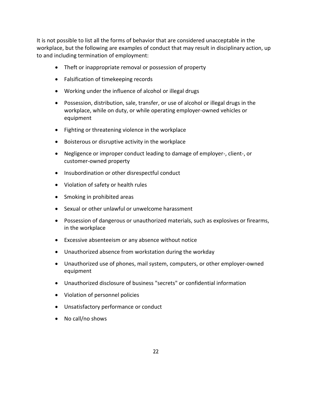It is not possible to list all the forms of behavior that are considered unacceptable in the workplace, but the following are examples of conduct that may result in disciplinary action, up to and including termination of employment:

- Theft or inappropriate removal or possession of property
- Falsification of timekeeping records
- Working under the influence of alcohol or illegal drugs
- Possession, distribution, sale, transfer, or use of alcohol or illegal drugs in the workplace, while on duty, or while operating employer-owned vehicles or equipment
- Fighting or threatening violence in the workplace
- Boisterous or disruptive activity in the workplace
- Negligence or improper conduct leading to damage of employer-, client-, or customer-owned property
- Insubordination or other disrespectful conduct
- Violation of safety or health rules
- Smoking in prohibited areas
- Sexual or other unlawful or unwelcome harassment
- Possession of dangerous or unauthorized materials, such as explosives or firearms, in the workplace
- Excessive absenteeism or any absence without notice
- Unauthorized absence from workstation during the workday
- Unauthorized use of phones, mail system, computers, or other employer-owned equipment
- Unauthorized disclosure of business "secrets" or confidential information
- Violation of personnel policies
- Unsatisfactory performance or conduct
- No call/no shows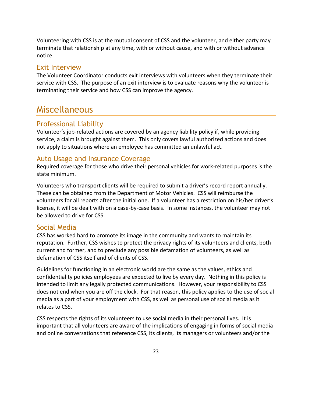Volunteering with CSS is at the mutual consent of CSS and the volunteer, and either party may terminate that relationship at any time, with or without cause, and with or without advance notice.

### <span id="page-23-0"></span>Exit Interview

The Volunteer Coordinator conducts exit interviews with volunteers when they terminate their service with CSS. The purpose of an exit interview is to evaluate reasons why the volunteer is terminating their service and how CSS can improve the agency.

# <span id="page-23-1"></span>Miscellaneous

### <span id="page-23-2"></span>Professional Liability

Volunteer's job-related actions are covered by an agency liability policy if, while providing service, a claim is brought against them. This only covers lawful authorized actions and does not apply to situations where an employee has committed an unlawful act.

### <span id="page-23-3"></span>Auto Usage and Insurance Coverage

Required coverage for those who drive their personal vehicles for work-related purposes is the state minimum.

Volunteers who transport clients will be required to submit a driver's record report annually. These can be obtained from the Department of Motor Vehicles. CSS will reimburse the volunteers for all reports after the initial one. If a volunteer has a restriction on his/her driver's license, it will be dealt with on a case-by-case basis. In some instances, the volunteer may not be allowed to drive for CSS.

#### <span id="page-23-4"></span>Social Media

CSS has worked hard to promote its image in the community and wants to maintain its reputation. Further, CSS wishes to protect the privacy rights of its volunteers and clients, both current and former, and to preclude any possible defamation of volunteers, as well as defamation of CSS itself and of clients of CSS.

Guidelines for functioning in an electronic world are the same as the values, ethics and confidentiality policies employees are expected to live by every day. Nothing in this policy is intended to limit any legally protected communications. However, your responsibility to CSS does not end when you are off the clock. For that reason, this policy applies to the use of social media as a part of your employment with CSS, as well as personal use of social media as it relates to CSS.

CSS respects the rights of its volunteers to use social media in their personal lives. It is important that all volunteers are aware of the implications of engaging in forms of social media and online conversations that reference CSS, its clients, its managers or volunteers and/or the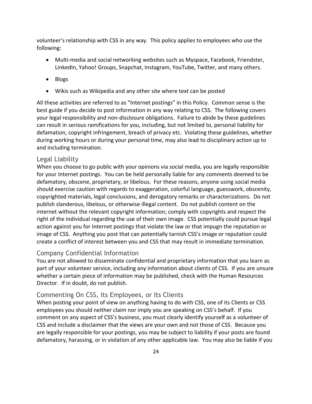volunteer's relationship with CSS in any way. This policy applies to employees who use the following:

- Multi-media and social networking websites such as Myspace, Facebook, Friendster, LinkedIn, Yahoo! Groups, Snapchat, Instagram, YouTube, Twitter, and many others.
- Blogs
- Wikis such as Wikipedia and any other site where text can be posted

All these activities are referred to as "Internet postings" in this Policy. Common sense is the best guide if you decide to post information in any way relating to CSS. The following covers your legal responsibility and non-disclosure obligations. Failure to abide by these guidelines can result in serious ramifications for you, including, but not limited to, personal liability for defamation, copyright infringement, breach of privacy etc. Violating these guidelines, whether during working hours or during your personal time, may also lead to disciplinary action up to and including termination.

#### <span id="page-24-0"></span>Legal Liability

When you choose to go public with your opinions via social media, you are legally responsible for your Internet postings. You can be held personally liable for any comments deemed to be defamatory, obscene, proprietary, or libelous. For these reasons, anyone using social media should exercise caution with regards to exaggeration, colorful language, guesswork, obscenity, copyrighted materials, legal conclusions, and derogatory remarks or characterizations. Do not publish slanderous, libelous, or otherwise illegal content. Do not publish content on the internet without the relevant copyright information; comply with copyrights and respect the right of the individual regarding the use of their own image. CSS potentially could pursue legal action against you for Internet postings that violate the law or that impugn the reputation or image of CSS. Anything you post that can potentially tarnish CSS's image or reputation could create a conflict of interest between you and CSS that may result in immediate termination.

#### <span id="page-24-1"></span>Company Confidential Information

You are not allowed to disseminate confidential and proprietary information that you learn as part of your volunteer service, including any information about clients of CSS. If you are unsure whether a certain piece of information may be published, check with the Human Resources Director. If in doubt, do not publish.

#### <span id="page-24-2"></span>Commenting On CSS, Its Employees, or Its Clients

When posting your point of view on anything having to do with CSS, one of its Clients or CSS employees you should neither claim nor imply you are speaking on CSS's behalf. If you comment on any aspect of CSS's business, you must clearly identify yourself as a volunteer of CSS and include a disclaimer that the views are your own and not those of CSS. Because you are legally responsible for your postings, you may be subject to liability if your posts are found defamatory, harassing, or in violation of any other applicable law. You may also be liable if you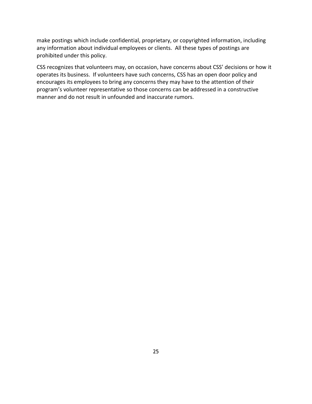make postings which include confidential, proprietary, or copyrighted information, including any information about individual employees or clients. All these types of postings are prohibited under this policy.

CSS recognizes that volunteers may, on occasion, have concerns about CSS' decisions or how it operates its business. If volunteers have such concerns, CSS has an open door policy and encourages its employees to bring any concerns they may have to the attention of their program's volunteer representative so those concerns can be addressed in a constructive manner and do not result in unfounded and inaccurate rumors.